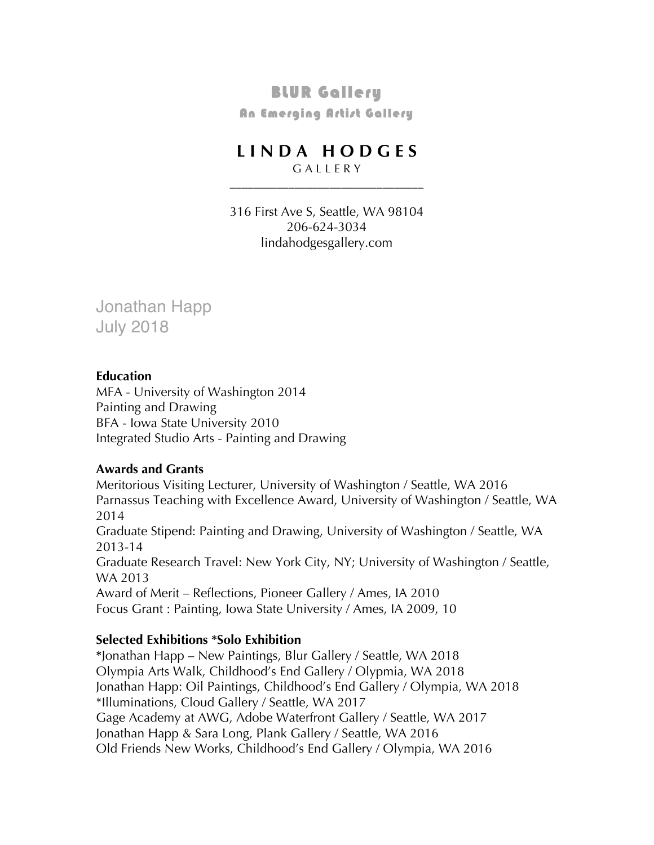# BLUR Gallery

**An Emerging Artist Gallery** 

# **L I N D A H O D G E S**

\_\_\_\_\_\_\_\_\_\_\_\_\_\_\_\_\_\_\_\_\_\_\_\_\_\_\_\_\_\_\_\_\_

G A L L E R Y

316 First Ave S, Seattle, WA 98104 206-624-3034 lindahodgesgallery.com

Jonathan Happ July 2018

#### **Education**

MFA - University of Washington 2014 Painting and Drawing BFA - Iowa State University 2010 Integrated Studio Arts - Painting and Drawing

## **Awards and Grants**

Meritorious Visiting Lecturer, University of Washington / Seattle, WA 2016 Parnassus Teaching with Excellence Award, University of Washington / Seattle, WA 2014 Graduate Stipend: Painting and Drawing, University of Washington / Seattle, WA 2013-14 Graduate Research Travel: New York City, NY; University of Washington / Seattle, WA 2013 Award of Merit – Reflections, Pioneer Gallery / Ames, IA 2010 Focus Grant : Painting, Iowa State University / Ames, IA 2009, 10

## **Selected Exhibitions \*Solo Exhibition**

**\***Jonathan Happ – New Paintings, Blur Gallery / Seattle, WA 2018 Olympia Arts Walk, Childhood's End Gallery / Olypmia, WA 2018 Jonathan Happ: Oil Paintings, Childhood's End Gallery / Olympia, WA 2018 \*Illuminations, Cloud Gallery / Seattle, WA 2017 Gage Academy at AWG, Adobe Waterfront Gallery / Seattle, WA 2017 Jonathan Happ & Sara Long, Plank Gallery / Seattle, WA 2016 Old Friends New Works, Childhood's End Gallery / Olympia, WA 2016